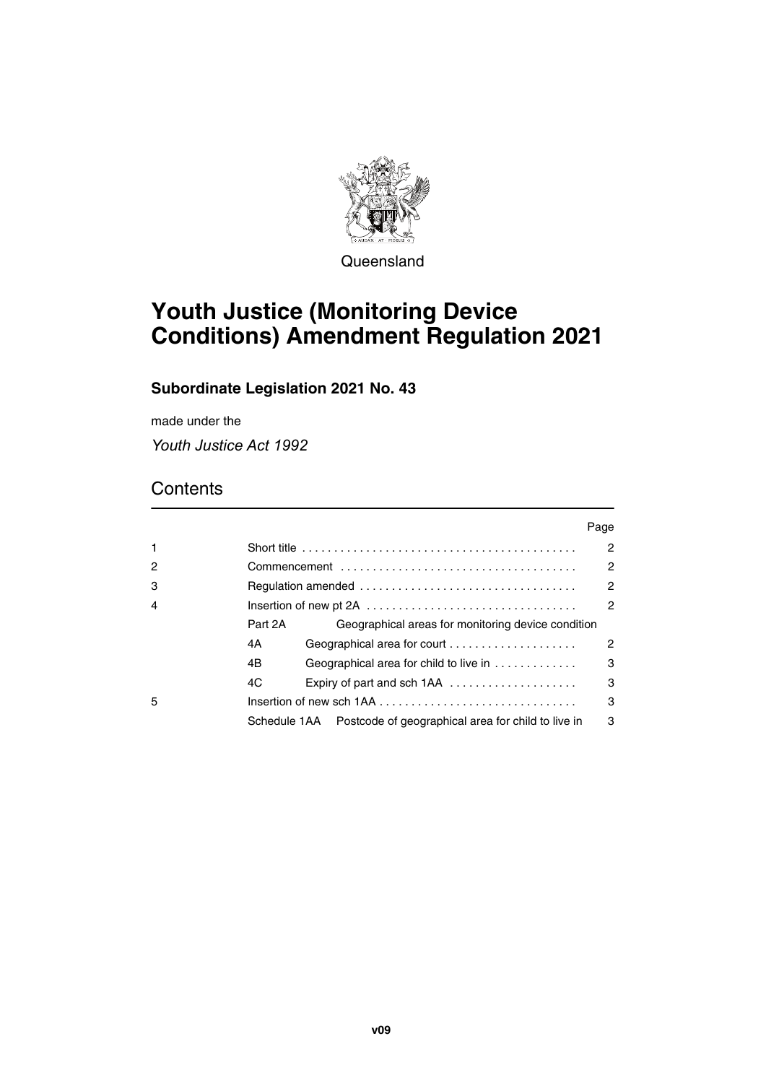

Queensland

# **Youth Justice (Monitoring Device Conditions) Amendment Regulation 2021**

# **Subordinate Legislation 2021 No. 43**

made under the

*Youth Justice Act 1992*

# **Contents**

|                |              |                                                    | Page |  |  |  |  |  |  |
|----------------|--------------|----------------------------------------------------|------|--|--|--|--|--|--|
| 1              |              |                                                    | 2    |  |  |  |  |  |  |
| $\overline{c}$ |              |                                                    |      |  |  |  |  |  |  |
| 3              | 2            |                                                    |      |  |  |  |  |  |  |
| 4              |              |                                                    |      |  |  |  |  |  |  |
|                | Part 2A      | Geographical areas for monitoring device condition |      |  |  |  |  |  |  |
|                | 4A           | Geographical area for court                        | 2    |  |  |  |  |  |  |
|                | 4B           | 3<br>Geographical area for child to live in        |      |  |  |  |  |  |  |
|                | 4C           | Expiry of part and sch 1AA                         | 3    |  |  |  |  |  |  |
| 5              |              |                                                    |      |  |  |  |  |  |  |
|                | Schedule 1AA | Postcode of geographical area for child to live in | 3    |  |  |  |  |  |  |
|                |              |                                                    |      |  |  |  |  |  |  |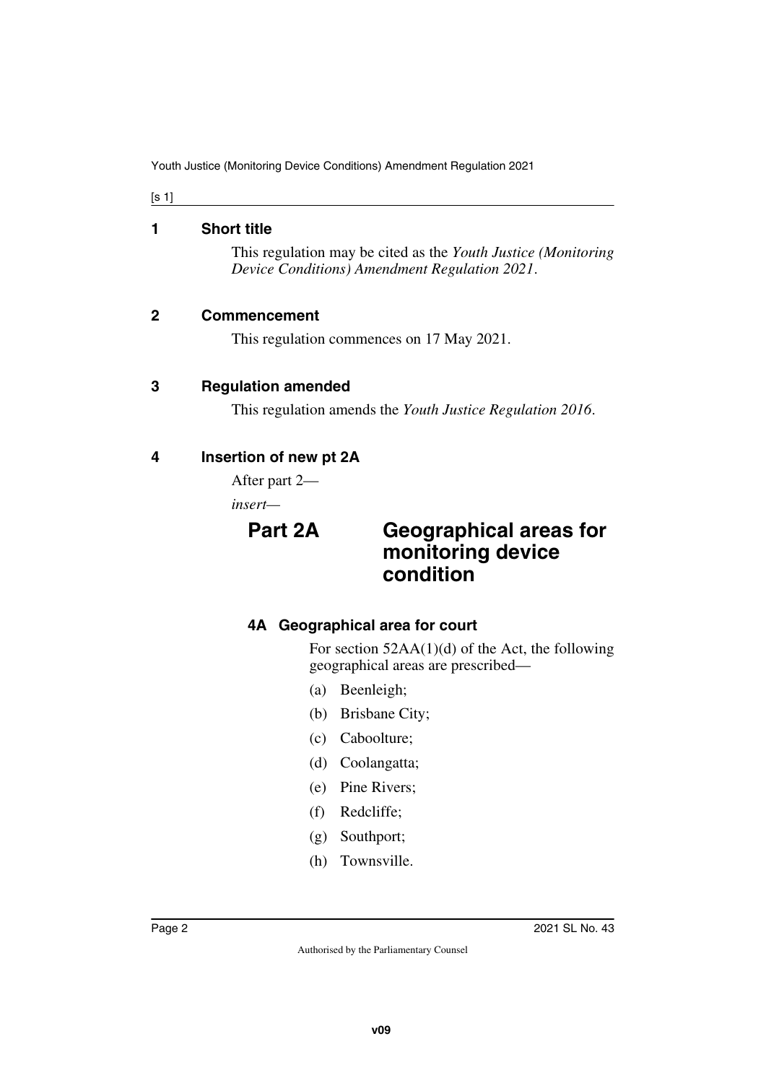[s 1]

#### <span id="page-1-0"></span>**1 Short title**

<span id="page-1-1"></span>This regulation may be cited as the *Youth Justice (Monitoring Device Conditions) Amendment Regulation 2021*.

## <span id="page-1-2"></span>**2 Commencement**

<span id="page-1-5"></span><span id="page-1-3"></span>This regulation commences on 17 May 2021.

## <span id="page-1-4"></span>**3 Regulation amended**

<span id="page-1-7"></span>This regulation amends the *Youth Justice Regulation 2016*.

# <span id="page-1-6"></span>**4 Insertion of new pt 2A**

After part 2—

*insert—*

# <span id="page-1-9"></span><span id="page-1-8"></span>**Part 2A Geographical areas for monitoring device condition**

# <span id="page-1-11"></span><span id="page-1-10"></span>**4A Geographical area for court**

For section 52AA(1)(d) of the Act, the following geographical areas are prescribed—

- (a) Beenleigh;
- (b) Brisbane City;
- (c) Caboolture;
- (d) Coolangatta;
- (e) Pine Rivers;
- (f) Redcliffe;
- (g) Southport;
- (h) Townsville.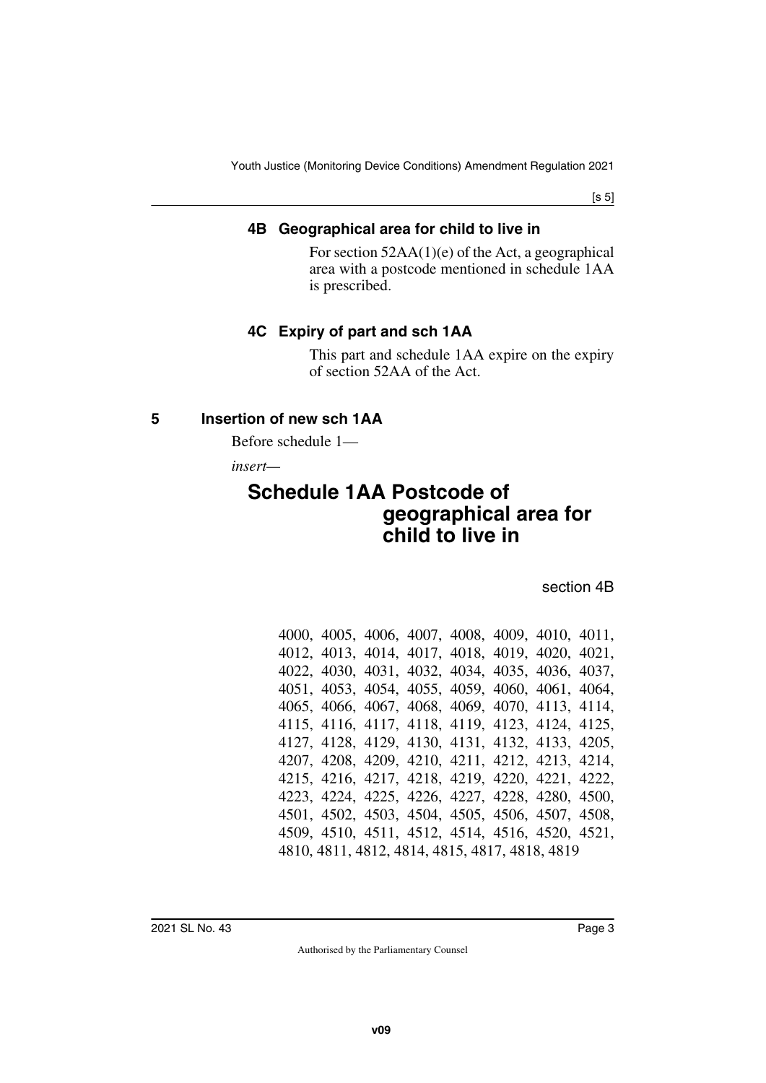[s 5]

#### <span id="page-2-1"></span><span id="page-2-0"></span>**4B Geographical area for child to live in**

For section 52AA(1)(e) of the Act, a geographical area with a postcode mentioned in schedule 1AA is prescribed.

## <span id="page-2-3"></span><span id="page-2-2"></span>**4C Expiry of part and sch 1AA**

<span id="page-2-7"></span>This part and schedule 1AA expire on the expiry of section 52AA of the Act.

#### <span id="page-2-4"></span>**5 Insertion of new sch 1AA**

<span id="page-2-5"></span>Before schedule 1—

*insert—*

# <span id="page-2-6"></span>**Schedule 1AA Postcode of geographical area for child to live in**

section 4B

|                                                |  |  |  |  | 4000, 4005, 4006, 4007, 4008, 4009, 4010, 4011, |  |  |  |  |
|------------------------------------------------|--|--|--|--|-------------------------------------------------|--|--|--|--|
|                                                |  |  |  |  | 4012, 4013, 4014, 4017, 4018, 4019, 4020, 4021, |  |  |  |  |
|                                                |  |  |  |  | 4022, 4030, 4031, 4032, 4034, 4035, 4036, 4037, |  |  |  |  |
|                                                |  |  |  |  | 4051, 4053, 4054, 4055, 4059, 4060, 4061, 4064, |  |  |  |  |
|                                                |  |  |  |  | 4065, 4066, 4067, 4068, 4069, 4070, 4113, 4114, |  |  |  |  |
|                                                |  |  |  |  | 4115, 4116, 4117, 4118, 4119, 4123, 4124, 4125, |  |  |  |  |
|                                                |  |  |  |  | 4127, 4128, 4129, 4130, 4131, 4132, 4133, 4205, |  |  |  |  |
|                                                |  |  |  |  | 4207, 4208, 4209, 4210, 4211, 4212, 4213, 4214, |  |  |  |  |
|                                                |  |  |  |  | 4215, 4216, 4217, 4218, 4219, 4220, 4221, 4222, |  |  |  |  |
|                                                |  |  |  |  | 4223, 4224, 4225, 4226, 4227, 4228, 4280, 4500, |  |  |  |  |
|                                                |  |  |  |  | 4501, 4502, 4503, 4504, 4505, 4506, 4507, 4508, |  |  |  |  |
|                                                |  |  |  |  | 4509, 4510, 4511, 4512, 4514, 4516, 4520, 4521, |  |  |  |  |
| 4810, 4811, 4812, 4814, 4815, 4817, 4818, 4819 |  |  |  |  |                                                 |  |  |  |  |